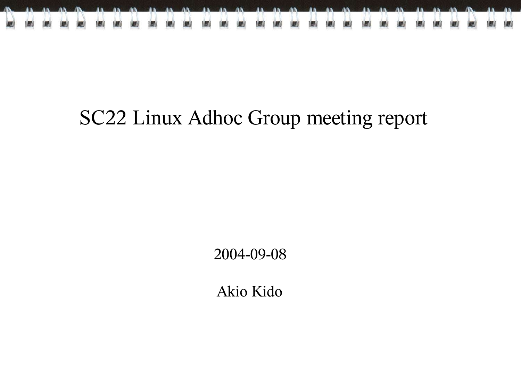

#### SC22 Linux Adhoc Group meeting report

2004-09-08

Akio Kido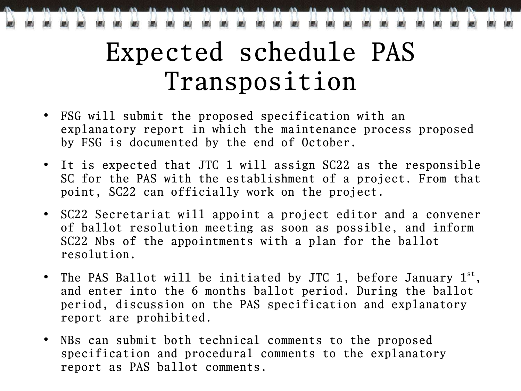# Expected schedule PAS Transposition

- FSG will submit the proposed specification with an explanatory report in which the maintenance process proposed by FSG is documented by the end of October.
- It is expected that JTC 1 will assign SC22 as the responsible SC for the PAS with the establishment of a project. From that point, SC22 can officially work on the project.
- SC22 Secretariat will appoint a project editor and a convener of ballot resolution meeting as soon as possible, and inform SC22 Nbs of the appointments with a plan for the ballot resolution.
- The PAS Ballot will be initiated by JTC 1, before January  $1^{st}$ , and enter into the 6 months ballot period. During the ballot period, discussion on the PAS specification and explanatory report are prohibited.
- NBs can submit both technical comments to the proposed specification and procedural comments to the explanatory report as PAS ballot comments.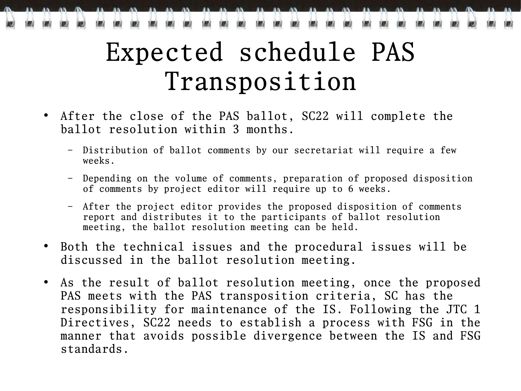## Expected schedule PAS Transposition

- After the close of the PAS ballot, SC22 will complete the ballot resolution within 3 months.
	- Distribution of ballot comments by our secretariat will require a few weeks.
	- Depending on the volume of comments, preparation of proposed disposition of comments by project editor will require up to 6 weeks.
	- After the project editor provides the proposed disposition of comments report and distributes it to the participants of ballot resolution meeting, the ballot resolution meeting can be held.
- Both the technical issues and the procedural issues will be discussed in the ballot resolution meeting.
- As the result of ballot resolution meeting, once the proposed PAS meets with the PAS transposition criteria, SC has the responsibility for maintenance of the IS. Following the JTC 1 Directives, SC22 needs to establish a process with FSG in the manner that avoids possible divergence between the IS and FSG standards.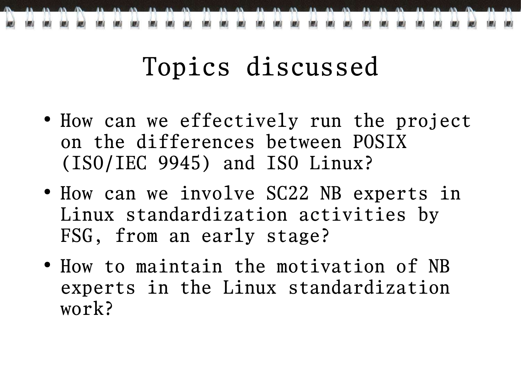

## Topics discussed

- How can we effectively run the project on the differences between POSIX (ISO/IEC 9945) and ISO Linux?
- How can we involve SC22 NB experts in Linux standardization activities by FSG, from an early stage?
- How to maintain the motivation of NB experts in the Linux standardization work?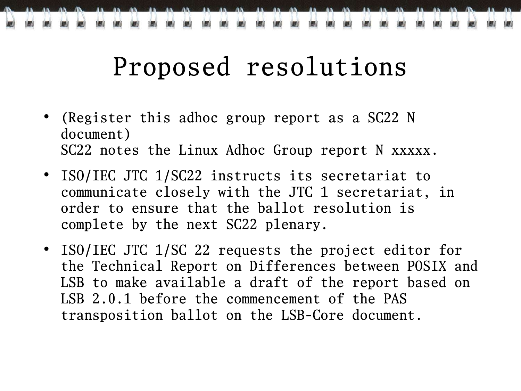### Proposed resolutions

- (Register this adhoc group report as a SC22 N document) SC22 notes the Linux Adhoc Group report N xxxxx.
- ISO/IEC JTC 1/SC22 instructs its secretariat to communicate closely with the JTC 1 secretariat, in order to ensure that the ballot resolution is complete by the next SC22 plenary.
- ISO/IEC JTC 1/SC 22 requests the project editor for the Technical Report on Differences between POSIX and LSB to make available a draft of the report based on LSB 2.0.1 before the commencement of the PAS transposition ballot on the LSB-Core document.